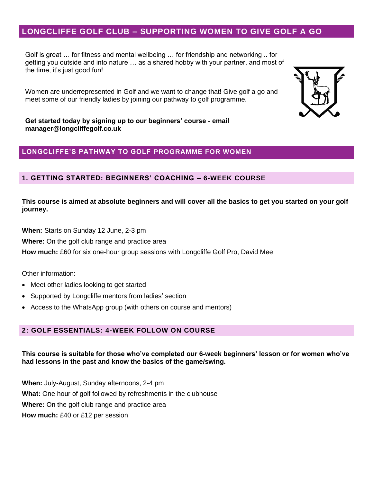# **LONGCLIFFE GOLF CLUB – SUPPORTING WOMEN TO GIVE GOLF A GO**

Golf is great … for fitness and mental wellbeing … for friendship and networking .. for getting you outside and into nature … as a shared hobby with your partner, and most of the time, it's just good fun!

Women are underrepresented in Golf and we want to change that! Give golf a go and meet some of our friendly ladies by joining our pathway to golf programme.



**Get started today by signing up to our beginners' course - email manager@longcliffegolf.co.uk**

## **LONGCLIFFE'S PATHWAY TO GOLF PROGRAMME FOR WOMEN**

### **1. GETTING STARTED: BEGINNERS' COACHING – 6-WEEK COURSE**

**This course is aimed at absolute beginners and will cover all the basics to get you started on your golf journey.**

**When:** Starts on Sunday 12 June, 2-3 pm

**Where:** On the golf club range and practice area

**How much:** £60 for six one-hour group sessions with Longcliffe Golf Pro, David Mee

Other information:

- Meet other ladies looking to get started
- Supported by Longcliffe mentors from ladies' section
- Access to the WhatsApp group (with others on course and mentors)

## **2: GOLF ESSENTIALS: 4-WEEK FOLLOW ON COURSE**

### **This course is suitable for those who've completed our 6-week beginners' lesson or for women who've had lessons in the past and know the basics of the game/swing.**

**When:** July-August, Sunday afternoons, 2-4 pm **What:** One hour of golf followed by refreshments in the clubhouse **Where:** On the golf club range and practice area **How much:** £40 or £12 per session